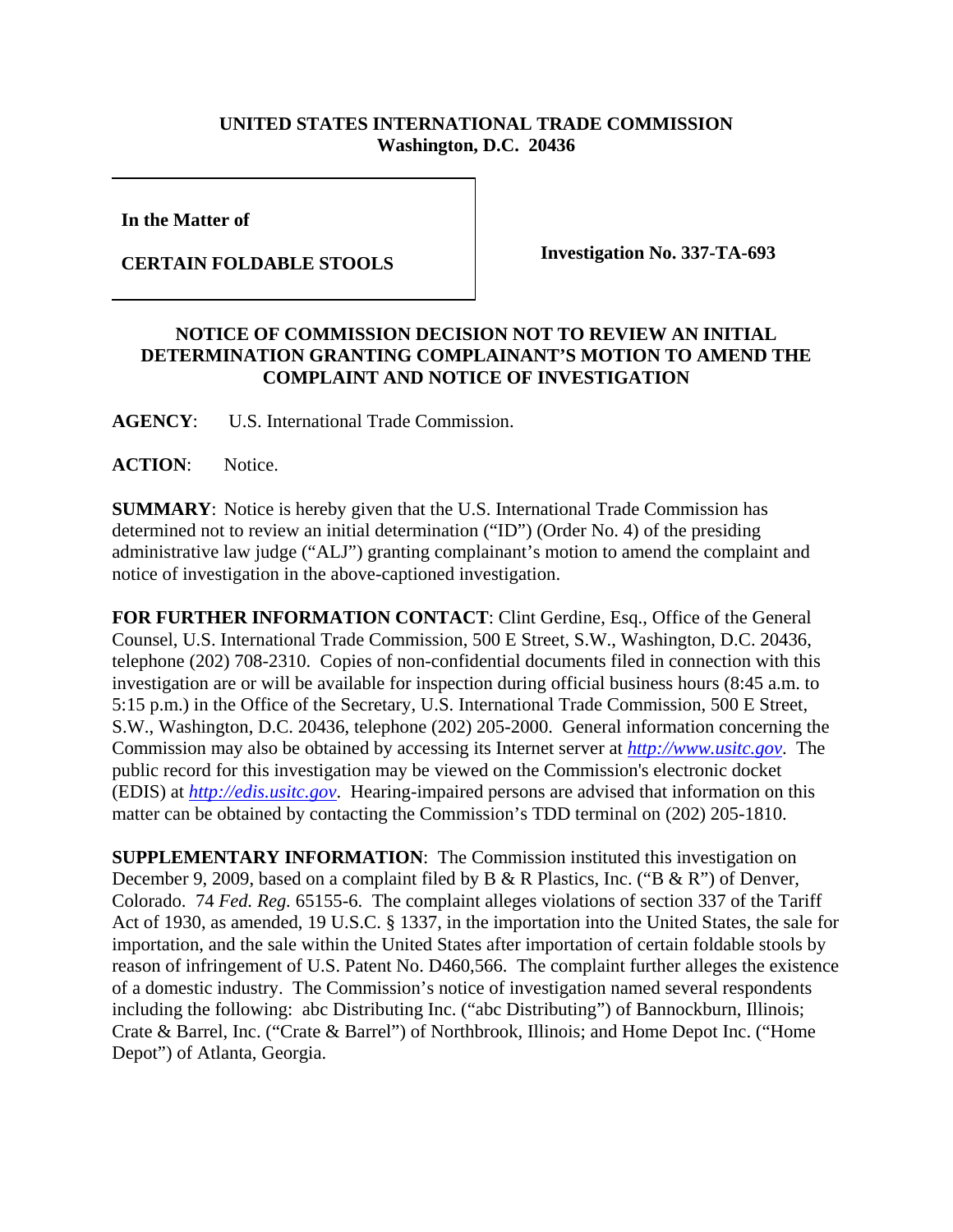## **UNITED STATES INTERNATIONAL TRADE COMMISSION Washington, D.C. 20436**

**In the Matter of** 

**CERTAIN FOLDABLE STOOLS Investigation No. 337-TA-693**

## **NOTICE OF COMMISSION DECISION NOT TO REVIEW AN INITIAL DETERMINATION GRANTING COMPLAINANT'S MOTION TO AMEND THE COMPLAINT AND NOTICE OF INVESTIGATION**

**AGENCY**: U.S. International Trade Commission.

## **ACTION**: Notice.

**SUMMARY**: Notice is hereby given that the U.S. International Trade Commission has determined not to review an initial determination ("ID") (Order No. 4) of the presiding administrative law judge ("ALJ") granting complainant's motion to amend the complaint and notice of investigation in the above-captioned investigation.

**FOR FURTHER INFORMATION CONTACT**: Clint Gerdine, Esq., Office of the General Counsel, U.S. International Trade Commission, 500 E Street, S.W., Washington, D.C. 20436, telephone (202) 708-2310. Copies of non-confidential documents filed in connection with this investigation are or will be available for inspection during official business hours (8:45 a.m. to 5:15 p.m.) in the Office of the Secretary, U.S. International Trade Commission, 500 E Street, S.W., Washington, D.C. 20436, telephone (202) 205-2000. General information concerning the Commission may also be obtained by accessing its Internet server at *http://www.usitc.gov*. The public record for this investigation may be viewed on the Commission's electronic docket (EDIS) at *http://edis.usitc.gov*. Hearing-impaired persons are advised that information on this matter can be obtained by contacting the Commission's TDD terminal on (202) 205-1810.

**SUPPLEMENTARY INFORMATION:** The Commission instituted this investigation on December 9, 2009, based on a complaint filed by B & R Plastics, Inc. ("B & R") of Denver, Colorado. 74 *Fed. Reg.* 65155-6. The complaint alleges violations of section 337 of the Tariff Act of 1930, as amended, 19 U.S.C. § 1337, in the importation into the United States, the sale for importation, and the sale within the United States after importation of certain foldable stools by reason of infringement of U.S. Patent No. D460,566. The complaint further alleges the existence of a domestic industry. The Commission's notice of investigation named several respondents including the following: abc Distributing Inc. ("abc Distributing") of Bannockburn, Illinois; Crate & Barrel, Inc. ("Crate & Barrel") of Northbrook, Illinois; and Home Depot Inc. ("Home Depot") of Atlanta, Georgia.